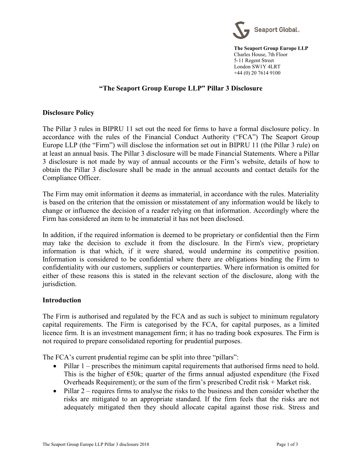

**The Seaport Group Europe LLP** Charles House, 7th Floor 5-11 Regent Street London SW1Y 4LRT +44 (0) 20 7614 9100

## **"The Seaport Group Europe LLP" Pillar 3 Disclosure**

## **Disclosure Policy**

The Pillar 3 rules in BIPRU 11 set out the need for firms to have a formal disclosure policy. In accordance with the rules of the Financial Conduct Authority ("FCA") The Seaport Group Europe LLP (the "Firm") will disclose the information set out in BIPRU 11 (the Pillar 3 rule) on at least an annual basis. The Pillar 3 disclosure will be made Financial Statements. Where a Pillar 3 disclosure is not made by way of annual accounts or the Firm's website, details of how to obtain the Pillar 3 disclosure shall be made in the annual accounts and contact details for the Compliance Officer.

The Firm may omit information it deems as immaterial, in accordance with the rules. Materiality is based on the criterion that the omission or misstatement of any information would be likely to change or influence the decision of a reader relying on that information. Accordingly where the Firm has considered an item to be immaterial it has not been disclosed.

In addition, if the required information is deemed to be proprietary or confidential then the Firm may take the decision to exclude it from the disclosure. In the Firm's view, proprietary information is that which, if it were shared, would undermine its competitive position. Information is considered to be confidential where there are obligations binding the Firm to confidentiality with our customers, suppliers or counterparties. Where information is omitted for either of these reasons this is stated in the relevant section of the disclosure, along with the jurisdiction.

## **Introduction**

The Firm is authorised and regulated by the FCA and as such is subject to minimum regulatory capital requirements. The Firm is categorised by the FCA, for capital purposes, as a limited licence firm. It is an investment management firm; it has no trading book exposures. The Firm is not required to prepare consolidated reporting for prudential purposes.

The FCA's current prudential regime can be split into three "pillars":

- Pillar 1 prescribes the minimum capital requirements that authorised firms need to hold. This is the higher of  $\epsilon$ 50k; quarter of the firms annual adjusted expenditure (the Fixed Overheads Requirement); or the sum of the firm's prescribed Credit risk + Market risk.
- Pillar 2 requires firms to analyse the risks to the business and then consider whether the risks are mitigated to an appropriate standard. If the firm feels that the risks are not adequately mitigated then they should allocate capital against those risk. Stress and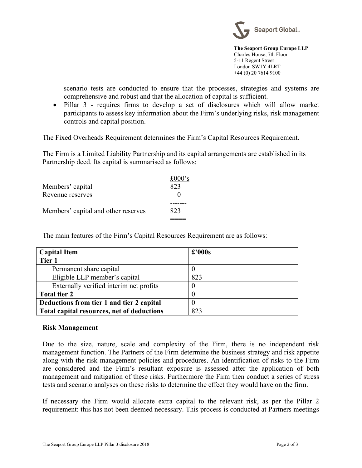

**The Seaport Group Europe LLP** Charles House, 7th Floor 5-11 Regent Street London SW1Y 4LRT +44 (0) 20 7614 9100

scenario tests are conducted to ensure that the processes, strategies and systems are comprehensive and robust and that the allocation of capital is sufficient.

• Pillar 3 - requires firms to develop a set of disclosures which will allow market participants to assess key information about the Firm's underlying risks, risk management controls and capital position.

The Fixed Overheads Requirement determines the Firm's Capital Resources Requirement.

The Firm is a Limited Liability Partnership and its capital arrangements are established in its Partnership deed. Its capital is summarised as follows:

| Members' capital                    | £000 $\degree$ s |
|-------------------------------------|------------------|
| Revenue reserves                    | 823              |
| Members' capital and other reserves | 823              |

The main features of the Firm's Capital Resources Requirement are as follows:

| <b>Capital Item</b>                        | $\pounds$ '000s |
|--------------------------------------------|-----------------|
| Tier 1                                     |                 |
| Permanent share capital                    |                 |
| Eligible LLP member's capital              | 823             |
| Externally verified interim net profits    | 0               |
| Total tier 2                               |                 |
| Deductions from tier 1 and tier 2 capital  |                 |
| Total capital resources, net of deductions | 823             |

## **Risk Management**

Due to the size, nature, scale and complexity of the Firm, there is no independent risk management function. The Partners of the Firm determine the business strategy and risk appetite along with the risk management policies and procedures. An identification of risks to the Firm are considered and the Firm's resultant exposure is assessed after the application of both management and mitigation of these risks. Furthermore the Firm then conduct a series of stress tests and scenario analyses on these risks to determine the effect they would have on the firm.

If necessary the Firm would allocate extra capital to the relevant risk, as per the Pillar 2 requirement: this has not been deemed necessary. This process is conducted at Partners meetings